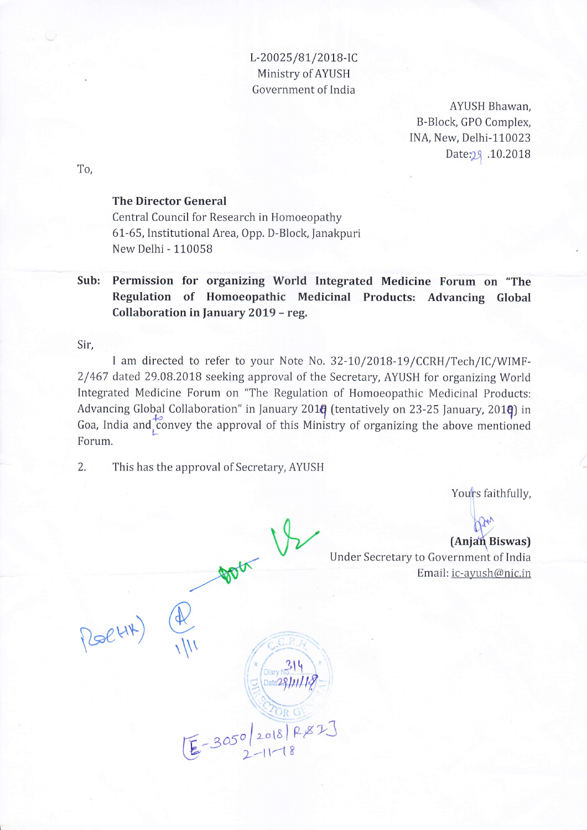## L-20025/81/2018-IC Ministry of AYUSH Government of India

AYUSH Bhawan, B-Block, GPO Complex, INA, New, Delhi-110023 Date: $29.10.2018$ 

To,

#### The Director General

Central Council for Research in Homoeopathy 6L- 65, Institutional Area, Opp. D - Block, Ianakpuri New Delhi - 110058

Sub: Permission for organizing World Integrated Medicine Forum on "The Regulation of Homoeopathic Medicinal Products: Advancing Global Collaboration in January 2019 - reg.

Sir,

I am directed to refer to your Note No. 32-10/2018-19/CCRH/Tech/IC/WIMF-2/467 dated 29.08.2018 seeking approval of the Secretary, AYUSH for organizing World Integrated Medicine Forum on "The Regulation of Homoeopathic Medicinal Products: Advancing Global Collaboration" in January 2018 (tentatively on 23-25 January, 2018) in Goa, India and convey the approval of this Ministry of organizing the above mentioned Forum.

2. This has the approval of Secretary, AYUSH

 $\sqrt{\frac{C.C.R.}{C.C.R.}}$ 

 $-40^\circ$ 

@

 $E-3050|20181$ 

 $\sqrt{\frac{1}{2} \sum_{i=1}^{N} \frac{1}{i} \sum_{j=1}^{N} \frac{1}{j} \sum_{j=1}^{N} \frac{1}{j} \sum_{j=1}^{N} \frac{1}{j} \sum_{j=1}^{N} \frac{1}{j} \sum_{j=1}^{N} \frac{1}{j} \sum_{j=1}^{N} \frac{1}{j} \sum_{j=1}^{N} \frac{1}{j} \sum_{j=1}^{N} \frac{1}{j} \sum_{j=1}^{N} \frac{1}{j} \sum_{j=1}^{N} \frac{1}{j} \sum_{j=1}^{N} \frac{1}{j} \sum_{j=1}$  $\binom{314}{\text{Dian}}$ Slpate28111112

**'**  $\sim$   $\alpha$ 

 $E-3050/2018/R82$ 

Yours faithfully,

dri (Anjan Biswas) Under Secretary to Government of India Email: ic-ayush@nic.in

 $Rol(HH)$